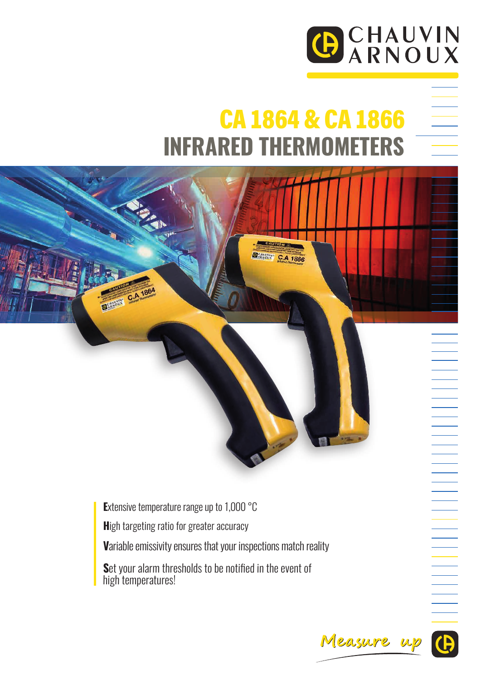

## CA 1864 & CA 1866 **INFRARED THERMOMETERS**

**DEMANA C.A 1866** 

**E***xtensive temperature range up to 1,000 °C*

**H***igh targeting ratio for greater accuracy*

**V***ariable emissivity ensures that your inspections match reality*

**S***et your alarm thresholds to be notified in the event of high temperatures!*

Measure up